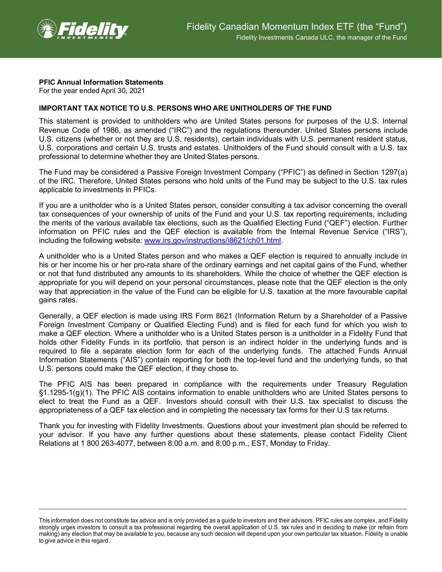

## **PFIC Annual Information Statements**

For the year ended April 30, 2021

## **IMPORTANT TAX NOTICE TO U.S. PERSONS WHO ARE UNITHOLDERS OF THE FUND**

This statement is provided to unitholders who are United States persons for purposes of the U.S. Internal Revenue Code of 1986, as amended ("IRC") and the regulations thereunder. United States persons include U.S. citizens (whether or not they are U.S. residents), certain individuals with U.S. permanent resident status, U.S. corporations and certain U.S. trusts and estates. Unitholders of the Fund should consult with a U.S. tax professional to determine whether they are United States persons.

The Fund may be considered a Passive Foreign Investment Company ("PFIC") as defined in Section 1297(a) of the IRC. Therefore, United States persons who hold units of the Fund may be subject to the U.S. tax rules applicable to investments in PFICs.

If you are a unitholder who is a United States person, consider consulting a tax advisor concerning the overall tax consequences of your ownership of units of the Fund and your U.S. tax reporting requirements, including the merits of the various available tax elections, such as the Qualified Electing Fund ("QEF") election. Further information on PFIC rules and the QEF election is available from the Internal Revenue Service ("IRS"), including the following website: [www.irs.gov/instructions/i8621/ch01.html.](http://www.irs.gov/instructions/i8621/ch01.html)

A unitholder who is a United States person and who makes a QEF election is required to annually include in his or her income his or her pro-rata share of the ordinary earnings and net capital gains of the Fund, whether or not that fund distributed any amounts to its shareholders. While the choice of whether the QEF election is appropriate for you will depend on your personal circumstances, please note that the QEF election is the only way that appreciation in the value of the Fund can be eligible for U.S. taxation at the more favourable capital gains rates.

Generally, a QEF election is made using IRS Form 8621 (Information Return by a Shareholder of a Passive Foreign Investment Company or Qualified Electing Fund) and is filed for each fund for which you wish to make a QEF election. Where a unitholder who is a United States person is a unitholder in a Fidelity Fund that holds other Fidelity Funds in its portfolio, that person is an indirect holder in the underlying funds and is required to file a separate election form for each of the underlying funds. The attached Funds Annual Information Statements ("AIS") contain reporting for both the top-level fund and the underlying funds, so that U.S. persons could make the QEF election, if they chose to.

The PFIC AIS has been prepared in compliance with the requirements under Treasury Regulation §1.1295-1(g)(1). The PFIC AIS contains information to enable unitholders who are United States persons to elect to treat the Fund as a QEF. Investors should consult with their U.S. tax specialist to discuss the appropriateness of a QEF tax election and in completing the necessary tax forms for their U.S tax returns.

Thank you for investing with Fidelity Investments. Questions about your investment plan should be referred to your advisor. If you have any further questions about these statements, please contact Fidelity Client Relations at 1 800 263-4077, between 8:00 a.m. and 8:00 p.m., EST, Monday to Friday.

This information does not constitute tax advice and is only provided as a guide to investors and their advisors. PFIC rules are complex, and Fidelity strongly urges investors to consult a tax professional regarding the overall application of U.S. tax rules and in deciding to make (or refrain from making) any election that may be available to you, because any such decision will depend upon your own particular tax situation. Fidelity is unable to give advice in this regard.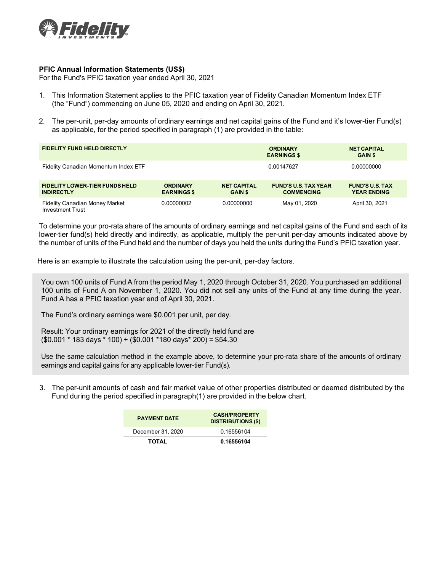

## **PFIC Annual Information Statements (US\$)**

For the Fund's PFIC taxation year ended April 30, 2021

- 1. This Information Statement applies to the PFIC taxation year of Fidelity Canadian Momentum Index ETF (the "Fund") commencing on June 05, 2020 and ending on April 30, 2021.
- 2. The per-unit, per-day amounts of ordinary earnings and net capital gains of the Fund and it's lower-tier Fund(s) as applicable, for the period specified in paragraph (1) are provided in the table:

| <b>FIDELITY FUND HELD DIRECTLY</b>                               |                                       |                                      | <b>ORDINARY</b><br><b>EARNINGS \$</b>            | <b>NET CAPITAL</b><br><b>GAIN \$</b>         |
|------------------------------------------------------------------|---------------------------------------|--------------------------------------|--------------------------------------------------|----------------------------------------------|
| Fidelity Canadian Momentum Index ETF                             |                                       |                                      | 0.00147627                                       | 0.00000000                                   |
| <b>FIDELITY LOWER-TIER FUNDS HELD</b><br><b>INDIRECTLY</b>       | <b>ORDINARY</b><br><b>EARNINGS \$</b> | <b>NET CAPITAL</b><br><b>GAIN \$</b> | <b>FUND'S U.S. TAX YEAR</b><br><b>COMMENCING</b> | <b>FUND'S U.S. TAX</b><br><b>YEAR ENDING</b> |
| <b>Fidelity Canadian Money Market</b><br><b>Investment Trust</b> | 0.00000002                            | 0.00000000                           | May 01, 2020                                     | April 30, 2021                               |

To determine your pro-rata share of the amounts of ordinary earnings and net capital gains of the Fund and each of its lower-tier fund(s) held directly and indirectly, as applicable, multiply the per-unit per-day amounts indicated above by the number of units of the Fund held and the number of days you held the units during the Fund's PFIC taxation year.

Here is an example to illustrate the calculation using the per-unit, per-day factors.

You own 100 units of Fund A from the period May 1, 2020 through October 31, 2020. You purchased an additional 100 units of Fund A on November 1, 2020. You did not sell any units of the Fund at any time during the year. Fund A has a PFIC taxation year end of April 30, 2021.

The Fund's ordinary earnings were \$0.001 per unit, per day.

Result: Your ordinary earnings for 2021 of the directly held fund are (\$0.001 \* 183 days \* 100) + (\$0.001 \*180 days\* 200) = \$54.30

Use the same calculation method in the example above, to determine your pro-rata share of the amounts of ordinary earnings and capital gains for any applicable lower-tier Fund(s).

3. The per-unit amounts of cash and fair market value of other properties distributed or deemed distributed by the Fund during the period specified in paragraph(1) are provided in the below chart.

| <b>PAYMENT DATE</b> | <b>CASH/PROPERTY</b><br><b>DISTRIBUTIONS (\$)</b> |
|---------------------|---------------------------------------------------|
| December 31, 2020   | 0.16556104                                        |
| <b>TOTAL</b>        | 0.16556104                                        |